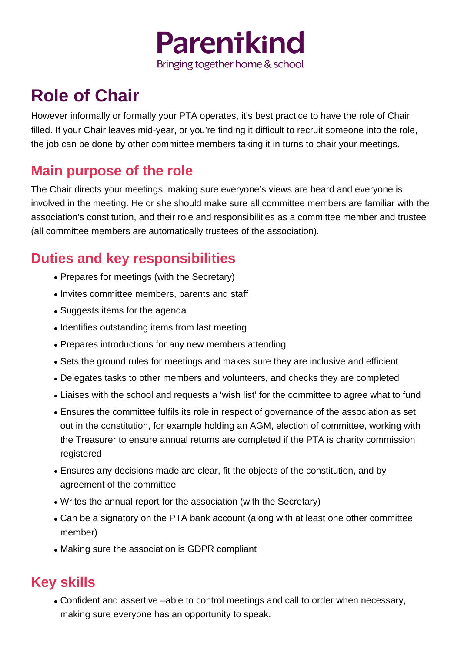

## **Role of Chair**

However informally or formally your PTA operates, it's best practice to have the role of Chair filled. If your Chair leaves mid-year, or you're finding it difficult to recruit someone into the role, the job can be done by other committee members taking it in turns to chair your meetings.

## **Main purpose of the role**

The Chair directs your meetings, making sure everyone's views are heard and everyone is involved in the meeting. He or she should make sure all committee members are familiar with the association's constitution, and their role and responsibilities as a committee member and trustee (all committee members are automatically trustees of the association).

## **Duties and key responsibilities**

- Prepares for meetings (with the Secretary)
- Invites committee members, parents and staff
- Suggests items for the agenda
- Identifies outstanding items from last meeting
- Prepares introductions for any new members attending
- Sets the ground rules for meetings and makes sure they are inclusive and efficient
- Delegates tasks to other members and volunteers, and checks they are completed
- Liaises with the school and requests a 'wish list' for the committee to agree what to fund
- Ensures the committee fulfils its role in respect of governance of the association as set out in the constitution, for example holding an AGM, election of committee, working with the Treasurer to ensure annual returns are completed if the PTA is charity commission registered
- Ensures any decisions made are clear, fit the objects of the constitution, and by agreement of the committee
- Writes the annual report for the association (with the Secretary)
- Can be a signatory on the PTA bank account (along with at least one other committee member)
- Making sure the association is GDPR compliant

## **Key skills**

• Confident and assertive –able to control meetings and call to order when necessary, making sure everyone has an opportunity to speak.